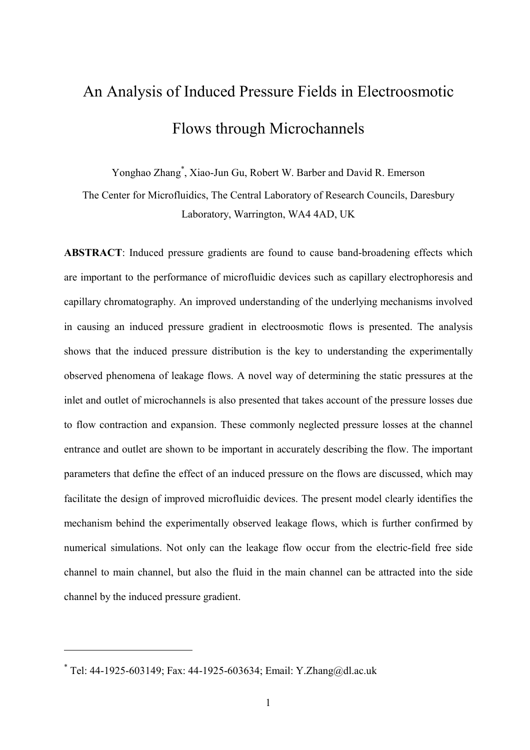# An Analysis of Induced Pressure Fields in Electroosmotic Flows through Microchannels

Yonghao Zhang<sup>\*</sup>, Xiao-Jun Gu, Robert W. Barber and David R. Emerson

The Center for Microfluidics, The Central Laboratory of Research Councils, Daresbury Laboratory, Warrington, WA4 4AD, UK

ABSTRACT: Induced pressure gradients are found to cause band-broadening effects which are important to the performance of microfluidic devices such as capillary electrophoresis and capillary chromatography. An improved understanding of the underlying mechanisms involved in causing an induced pressure gradient in electroosmotic flows is presented. The analysis shows that the induced pressure distribution is the key to understanding the experimentally observed phenomena of leakage flows. A novel way of determining the static pressures at the inlet and outlet of microchannels is also presented that takes account of the pressure losses due to flow contraction and expansion. These commonly neglected pressure losses at the channel entrance and outlet are shown to be important in accurately describing the flow. The important parameters that define the effect of an induced pressure on the flows are discussed, which may facilitate the design of improved microfluidic devices. The present model clearly identifies the mechanism behind the experimentally observed leakage flows, which is further confirmed by numerical simulations. Not only can the leakage flow occur from the electric field free side channel to main channel, but also the fluid in the main channel can be attracted into the side channel by the induced pressure gradient.

 $\overline{a}$ 

<sup>\*</sup> Tel: 44 1925 603149; Fax: 44 1925 603634; Email: Y.Zhang@dl.ac.uk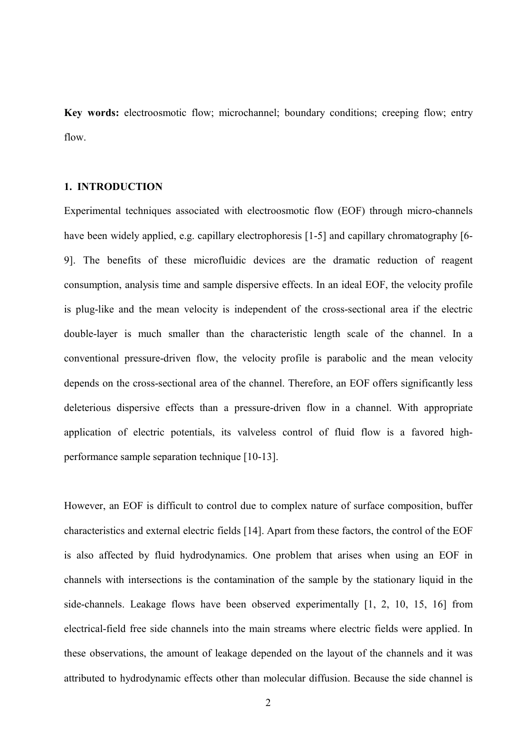Key words: electroosmotic flow; microchannel; boundary conditions; creeping flow; entry flow.

### 1. INTRODUCTION

Experimental techniques associated with electroosmotic flow (EOF) through micro channels have been widely applied, e.g. capillary electrophoresis [1-5] and capillary chromatography [6-9]. The benefits of these microfluidic devices are the dramatic reduction of reagent consumption, analysis time and sample dispersive effects. In an ideal EOF, the velocity profile is plug-like and the mean velocity is independent of the cross-sectional area if the electric double layer is much smaller than the characteristic length scale of the channel. In a conventional pressure driven flow, the velocity profile is parabolic and the mean velocity depends on the cross sectional area of the channel. Therefore, an EOF offers significantly less deleterious dispersive effects than a pressure driven flow in a channel. With appropriate application of electric potentials, its valveless control of fluid flow is a favored high performance sample separation technique [10-13].

However, an EOF is difficult to control due to complex nature of surface composition, buffer characteristics and external electric fields [14]. Apart from these factors, the control of the EOF is also affected by fluid hydrodynamics. One problem that arises when using an EOF in channels with intersections is the contamination of the sample by the stationary liquid in the side channels. Leakage flows have been observed experimentally [1, 2, 10, 15, 16] from electrical field free side channels into the main streams where electric fields were applied. In these observations, the amount of leakage depended on the layout of the channels and it was attributed to hydrodynamic effects other than molecular diffusion. Because the side channel is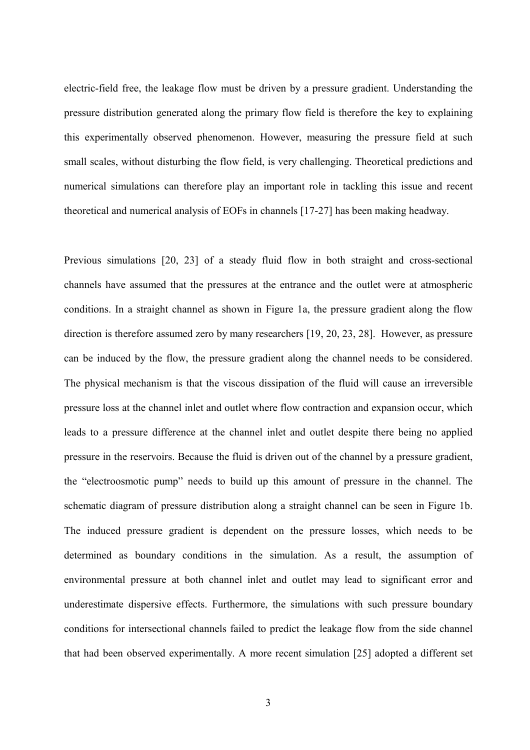electric field free, the leakage flow must be driven by a pressure gradient. Understanding the pressure distribution generated along the primary flow field is therefore the key to explaining this experimentally observed phenomenon. However, measuring the pressure field at such small scales, without disturbing the flow field, is very challenging. Theoretical predictions and numerical simulations can therefore play an important role in tackling this issue and recent theoretical and numerical analysis of EOFs in channels [17 27] has been making headway.

Previous simulations [20, 23] of a steady fluid flow in both straight and cross-sectional channels have assumed that the pressures at the entrance and the outlet were at atmospheric conditions. In a straight channel as shown in Figure 1a, the pressure gradient along the flow direction is therefore assumed zero by many researchers [19, 20, 23, 28]. However, as pressure can be induced by the flow, the pressure gradient along the channel needs to be considered. The physical mechanism is that the viscous dissipation of the fluid will cause an irreversible pressure loss at the channel inlet and outlet where flow contraction and expansion occur, which leads to a pressure difference at the channel inlet and outlet despite there being no applied pressure in the reservoirs. Because the fluid is driven out of the channel by a pressure gradient, the "electroosmotic pump" needs to build up this amount of pressure in the channel. The schematic diagram of pressure distribution along a straight channel can be seen in Figure 1b. The induced pressure gradient is dependent on the pressure losses, which needs to be determined as boundary conditions in the simulation. As a result, the assumption of environmental pressure at both channel inlet and outlet may lead to significant error and underestimate dispersive effects. Furthermore, the simulations with such pressure boundary conditions for intersectional channels failed to predict the leakage flow from the side channel that had been observed experimentally. A more recent simulation [25] adopted a different set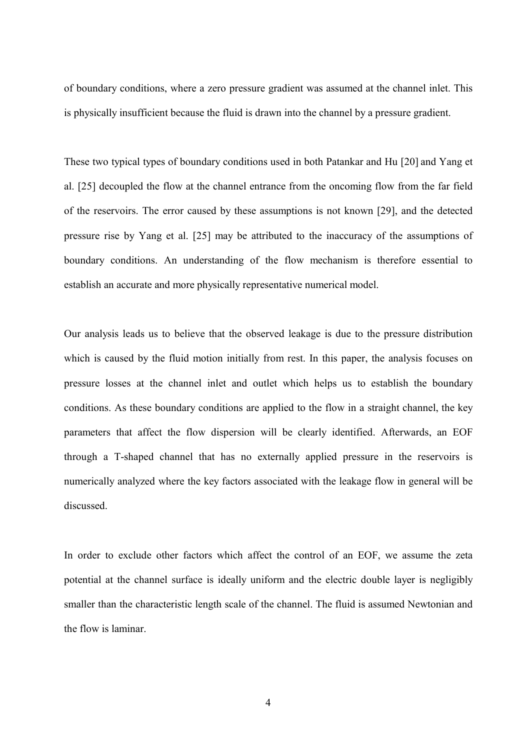of boundary conditions, where a zero pressure gradient was assumed at the channel inlet. This is physically insufficient because the fluid is drawn into the channel by a pressure gradient.

These two typical types of boundary conditions used in both Patankar and Hu [20] and Yang et al. [25] decoupled the flow at the channel entrance from the oncoming flow from the far field of the reservoirs. The error caused by these assumptions is not known [29], and the detected pressure rise by Yang et al. [25] may be attributed to the inaccuracy of the assumptions of boundary conditions. An understanding of the flow mechanism is therefore essential to establish an accurate and more physically representative numerical model.

Our analysis leads us to believe that the observed leakage is due to the pressure distribution which is caused by the fluid motion initially from rest. In this paper, the analysis focuses on pressure losses at the channel inlet and outlet which helps us to establish the boundary conditions. As these boundary conditions are applied to the flow in a straight channel, the key parameters that affect the flow dispersion will be clearly identified. Afterwards, an EOF through a T shaped channel that has no externally applied pressure in the reservoirs is numerically analyzed where the key factors associated with the leakage flow in general will be discussed.

In order to exclude other factors which affect the control of an EOF, we assume the zeta potential at the channel surface is ideally uniform and the electric double layer is negligibly smaller than the characteristic length scale of the channel. The fluid is assumed Newtonian and the flow is laminar.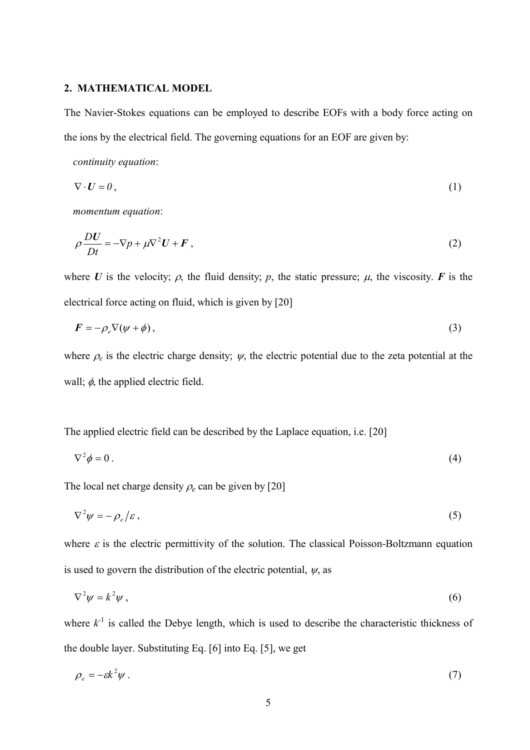### 2. MATHEMATICAL MODEL

The Navier Stokes equations can be employed to describe EOFs with a body force acting on the ions by the electrical field. The governing equations for an EOF are given by:

continuity equation:

$$
\nabla \cdot \mathbf{U} = 0,\tag{1}
$$

momentum equation:

$$
\rho \frac{DU}{Dt} = -\nabla p + \mu \nabla^2 U + \boldsymbol{F} \,, \tag{2}
$$

where U is the velocity;  $\rho$ , the fluid density;  $p$ , the static pressure;  $\mu$ , the viscosity. F is the electrical force acting on fluid, which is given by [20]

$$
F = -\rho_e \nabla(\psi + \phi), \tag{3}
$$

where  $\rho_e$  is the electric charge density;  $\psi$ , the electric potential due to the zeta potential at the wall;  $\phi$ , the applied electric field.

The applied electric field can be described by the Laplace equation, i.e. [20]

$$
\nabla^2 \phi = 0 \tag{4}
$$

The local net charge density  $\rho_e$  can be given by [20]

$$
\nabla^2 \psi = -\rho_e/\varepsilon \,,\tag{5}
$$

where  $\varepsilon$  is the electric permittivity of the solution. The classical Poisson-Boltzmann equation is used to govern the distribution of the electric potential,  $\psi$ , as

$$
\nabla^2 \psi = k^2 \psi \,, \tag{6}
$$

where  $k^{-1}$  is called the Debye length, which is used to describe the characteristic thickness of the double layer. Substituting Eq. [6] into Eq. [5], we get

$$
\rho_e = -\varepsilon k^2 \psi \,. \tag{7}
$$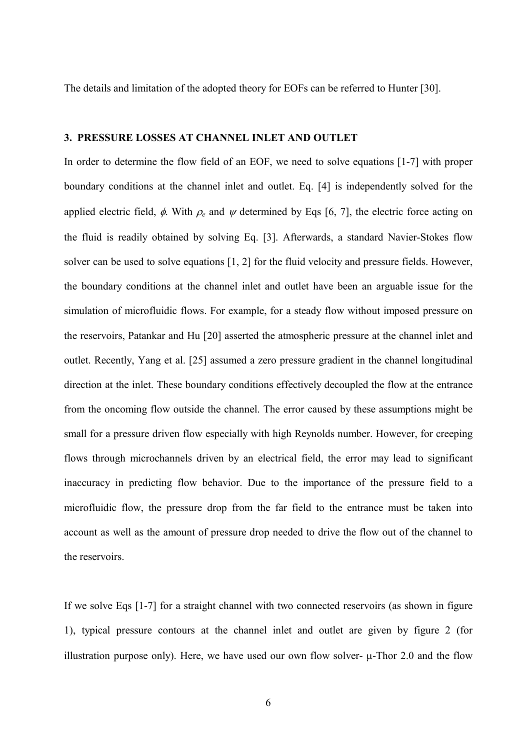The details and limitation of the adopted theory for EOFs can be referred to Hunter [30].

### 3. PRESSURE LOSSES AT CHANNEL INLET AND OUTLET

In order to determine the flow field of an EOF, we need to solve equations [1-7] with proper boundary conditions at the channel inlet and outlet. Eq. [4] is independently solved for the applied electric field,  $\phi$ . With  $\rho_e$  and  $\psi$  determined by Eqs [6, 7], the electric force acting on the fluid is readily obtained by solving Eq. [3]. Afterwards, a standard Navier Stokes flow solver can be used to solve equations [1, 2] for the fluid velocity and pressure fields. However, the boundary conditions at the channel inlet and outlet have been an arguable issue for the simulation of microfluidic flows. For example, for a steady flow without imposed pressure on the reservoirs, Patankar and Hu [20] asserted the atmospheric pressure at the channel inlet and outlet. Recently, Yang et al. [25] assumed a zero pressure gradient in the channel longitudinal direction at the inlet. These boundary conditions effectively decoupled the flow at the entrance from the oncoming flow outside the channel. The error caused by these assumptions might be small for a pressure driven flow especially with high Reynolds number. However, for creeping flows through microchannels driven by an electrical field, the error may lead to significant inaccuracy in predicting flow behavior. Due to the importance of the pressure field to a microfluidic flow, the pressure drop from the far field to the entrance must be taken into account as well as the amount of pressure drop needed to drive the flow out of the channel to the reservoirs.

If we solve Eqs [1-7] for a straight channel with two connected reservoirs (as shown in figure 1), typical pressure contours at the channel inlet and outlet are given by figure 2 (for illustration purpose only). Here, we have used our own flow solver- $\mu$ -Thor 2.0 and the flow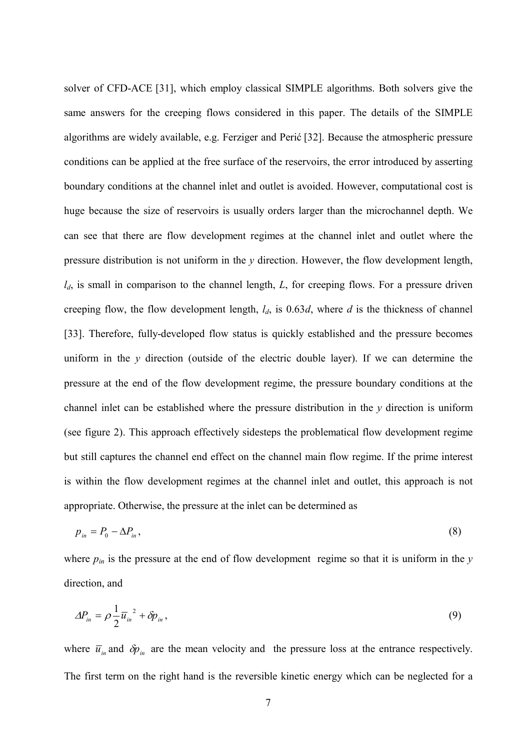solver of CFD ACE [31], which employ classical SIMPLE algorithms. Both solvers give the same answers for the creeping flows considered in this paper. The details of the SIMPLE algorithms are widely available, e.g. Ferziger and Perić [32]. Because the atmospheric pressure conditions can be applied at the free surface of the reservoirs, the error introduced by asserting boundary conditions at the channel inlet and outlet is avoided. However, computational cost is huge because the size of reservoirs is usually orders larger than the microchannel depth. We can see that there are flow development regimes at the channel inlet and outlet where the pressure distribution is not uniform in the  $\nu$  direction. However, the flow development length,  $l_d$ , is small in comparison to the channel length, L, for creeping flows. For a pressure driven creeping flow, the flow development length,  $l_d$ , is 0.63d, where d is the thickness of channel [33]. Therefore, fully-developed flow status is quickly established and the pressure becomes uniform in the  $\nu$  direction (outside of the electric double layer). If we can determine the pressure at the end of the flow development regime, the pressure boundary conditions at the channel inlet can be established where the pressure distribution in the  $\nu$  direction is uniform (see figure 2). This approach effectively sidesteps the problematical flow development regime but still captures the channel end effect on the channel main flow regime. If the prime interest is within the flow development regimes at the channel inlet and outlet, this approach is not appropriate. Otherwise, the pressure at the inlet can be determined as

$$
p_{in} = P_0 - \Delta P_{in},\tag{8}
$$

where  $p_{in}$  is the pressure at the end of flow development regime so that it is uniform in the y direction, and

$$
\Delta P_{in} = \rho \frac{1}{2} \overline{u}_{in}^2 + \delta p_{in},\tag{9}
$$

where  $\bar{u}_m$  and  $\delta p_m$  are the mean velocity and the pressure loss at the entrance respectively. The first term on the right hand is the reversible kinetic energy which can be neglected for a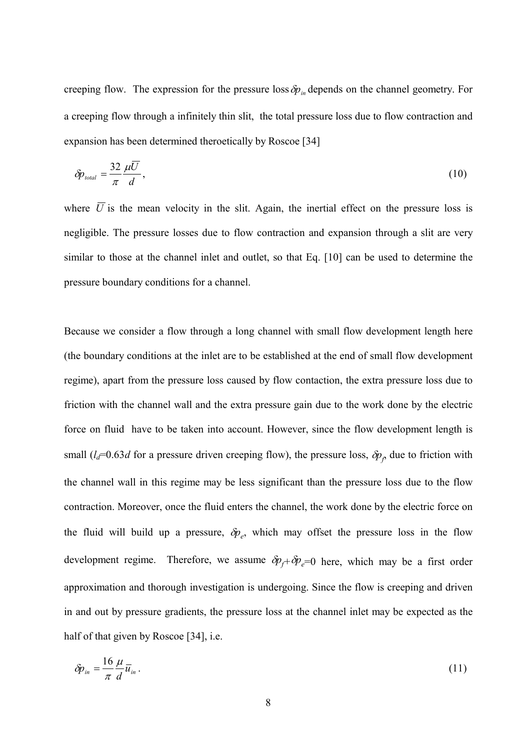creeping flow. The expression for the pressure loss  $\delta p_{in}$  depends on the channel geometry. For a creeping flow through a infinitely thin slit, the total pressure loss due to flow contraction and expansion has been determined theroetically by Roscoe [34]

$$
\delta p_{\text{total}} = \frac{32}{\pi} \frac{\mu \overline{U}}{d},\tag{10}
$$

where  $\overline{U}$  is the mean velocity in the slit. Again, the inertial effect on the pressure loss is negligible. The pressure losses due to flow contraction and expansion through a slit are very similar to those at the channel inlet and outlet, so that Eq. [10] can be used to determine the pressure boundary conditions for a channel.

Because we consider a flow through a long channel with small flow development length here (the boundary conditions at the inlet are to be established at the end of small flow development regime), apart from the pressure loss caused by flow contaction, the extra pressure loss due to friction with the channel wall and the extra pressure gain due to the work done by the electric force on fluid have to be taken into account. However, since the flow development length is small  $(l_d=0.63d$  for a pressure driven creeping flow), the pressure loss,  $\delta p_f$  due to friction with the channel wall in this regime may be less significant than the pressure loss due to the flow contraction. Moreover, once the fluid enters the channel, the work done by the electric force on the fluid will build up a pressure,  $\delta p_e$ , which may offset the pressure loss in the flow development regime. Therefore, we assume  $\delta p_f + \delta p_e = 0$  here, which may be a first order approximation and thorough investigation is undergoing. Since the flow is creeping and driven in and out by pressure gradients, the pressure loss at the channel inlet may be expected as the half of that given by Roscoe [34], i.e.

$$
\delta p_{in} = \frac{16}{\pi} \frac{\mu}{d} \overline{u}_{in} \,. \tag{11}
$$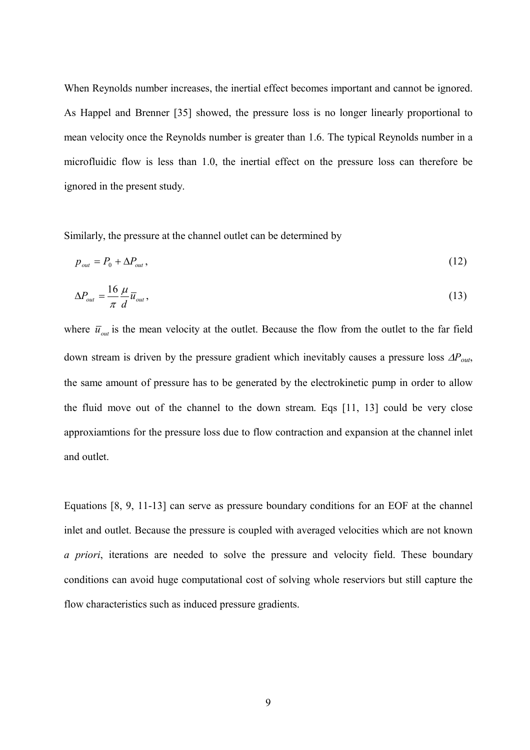When Reynolds number increases, the inertial effect becomes important and cannot be ignored. As Happel and Brenner [35] showed, the pressure loss is no longer linearly proportional to mean velocity once the Reynolds number is greater than 1.6. The typical Reynolds number in a microfluidic flow is less than 1.0, the inertial effect on the pressure loss can therefore be ignored in the present study.

Similarly, the pressure at the channel outlet can be determined by

$$
p_{\text{out}} = P_0 + \Delta P_{\text{out}}\,,\tag{12}
$$

$$
\Delta P_{out} = \frac{16}{\pi} \frac{\mu}{d} \overline{u}_{out},\tag{13}
$$

where  $\bar{u}_{out}$  is the mean velocity at the outlet. Because the flow from the outlet to the far field down stream is driven by the pressure gradient which inevitably causes a pressure loss  $\Delta P_{out}$ , the same amount of pressure has to be generated by the electrokinetic pump in order to allow the fluid move out of the channel to the down stream. Eqs [11, 13] could be very close approxiamtions for the pressure loss due to flow contraction and expansion at the channel inlet and outlet.

Equations [8, 9, 11-13] can serve as pressure boundary conditions for an EOF at the channel inlet and outlet. Because the pressure is coupled with averaged velocities which are not known a priori, iterations are needed to solve the pressure and velocity field. These boundary conditions can avoid huge computational cost of solving whole reserviors but still capture the flow characteristics such as induced pressure gradients.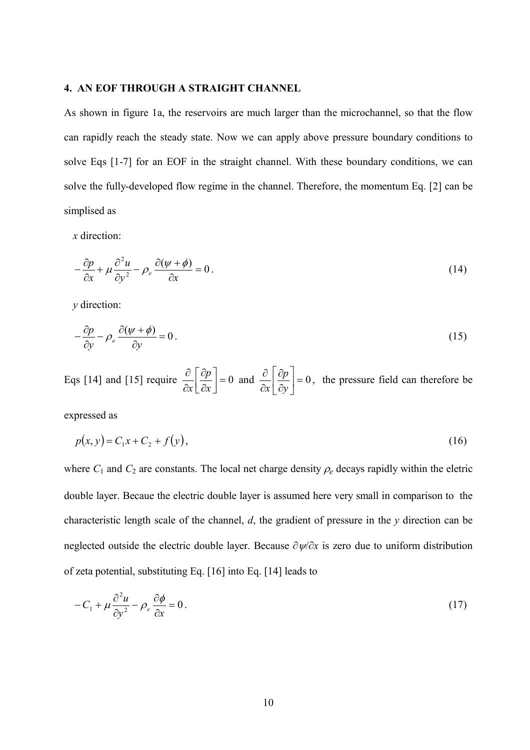### 4. AN EOF THROUGH A STRAIGHT CHANNEL

As shown in figure 1a, the reservoirs are much larger than the microchannel, so that the flow can rapidly reach the steady state. Now we can apply above pressure boundary conditions to solve Eqs [1-7] for an EOF in the straight channel. With these boundary conditions, we can solve the fully developed flow regime in the channel. Therefore, the momentum Eq. [2] can be simplised as

 $x$  direction:

$$
-\frac{\partial p}{\partial x} + \mu \frac{\partial^2 u}{\partial y^2} - \rho_e \frac{\partial (\psi + \phi)}{\partial x} = 0.
$$
 (14)

 $y$  direction:

$$
-\frac{\partial p}{\partial y} - \rho_e \frac{\partial (\psi + \phi)}{\partial y} = 0.
$$
 (15)

Eqs [14] and [15] require  $\frac{\partial}{\partial x} \left[ \frac{\partial p}{\partial x} \right] = 0$  $\overline{\phantom{a}}$  $\overline{\mathsf{L}}$  $\overline{\phantom{a}}$ ∂ ∂ ∂ ∂  $\mathbf{x}$  $\overline{p}$  $\frac{\partial P}{\partial x}$  = 0 and  $\frac{\partial P}{\partial x}$  = 0 ╛  $\overline{\phantom{a}}$ L L L ∂ ∂ ∂ ∂  $\mathcal{V}$  $\overline{p}$  $\mathbf{x}$ , the pressure field can therefore be

expressed as

$$
p(x, y) = C_1 x + C_2 + f(y),
$$
\n(16)

where  $C_1$  and  $C_2$  are constants. The local net charge density  $\rho_e$  decays rapidly within the eletric double layer. Becaue the electric double layer is assumed here very small in comparison to the characteristic length scale of the channel,  $d$ , the gradient of pressure in the  $y$  direction can be neglected outside the electric double layer. Because  $\partial \psi / \partial x$  is zero due to uniform distribution of zeta potential, substituting Eq. [16] into Eq. [14] leads to

$$
-C_1 + \mu \frac{\partial^2 u}{\partial y^2} - \rho_e \frac{\partial \phi}{\partial x} = 0.
$$
 (17)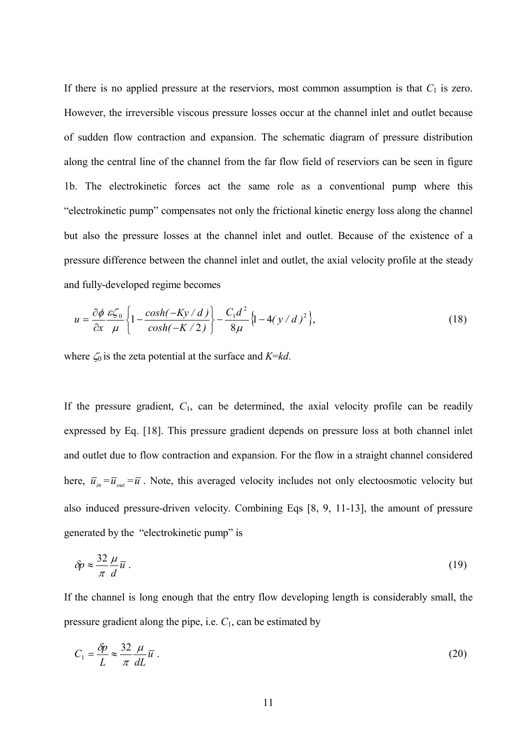If there is no applied pressure at the reserviors, most common assumption is that  $C_1$  is zero. However, the irreversible viscous pressure losses occur at the channel inlet and outlet because of sudden flow contraction and expansion. The schematic diagram of pressure distribution along the central line of the channel from the far flow field of reserviors can be seen in figure 1b. The electrokinetic forces act the same role as a conventional pump where this "electrokinetic pump" compensates not only the frictional kinetic energy loss along the channel but also the pressure losses at the channel inlet and outlet. Because of the existence of a pressure difference between the channel inlet and outlet, the axial velocity profile at the steady and fully developed regime becomes

$$
u = \frac{\partial \phi}{\partial x} \frac{\varepsilon \zeta_0}{\mu} \left\{ 1 - \frac{\cosh(-Ky/d)}{\cosh(-K/2)} \right\} - \frac{C_1 d^2}{8\mu} \left\{ 1 - 4(y/d)^2 \right\},\tag{18}
$$

where  $\zeta_0$  is the zeta potential at the surface and  $K=\kappa d$ .

If the pressure gradient,  $C_1$ , can be determined, the axial velocity profile can be readily expressed by Eq. [18]. This pressure gradient depends on pressure loss at both channel inlet and outlet due to flow contraction and expansion. For the flow in a straight channel considered here,  $\overline{u}_{in} = \overline{u}_{out} = \overline{u}$ . Note, this averaged velocity includes not only electoosmotic velocity but also induced pressure driven velocity. Combining Eqs [8, 9, 11 13], the amount of pressure generated by the "electrokinetic pump" is

$$
\delta p \approx \frac{32}{\pi} \frac{\mu}{d} \overline{u} \ . \tag{19}
$$

If the channel is long enough that the entry flow developing length is considerably small, the pressure gradient along the pipe, i.e.  $C_1$ , can be estimated by

$$
C_1 = \frac{\delta p}{L} \approx \frac{32}{\pi} \frac{\mu}{dL} \overline{u} \ . \tag{20}
$$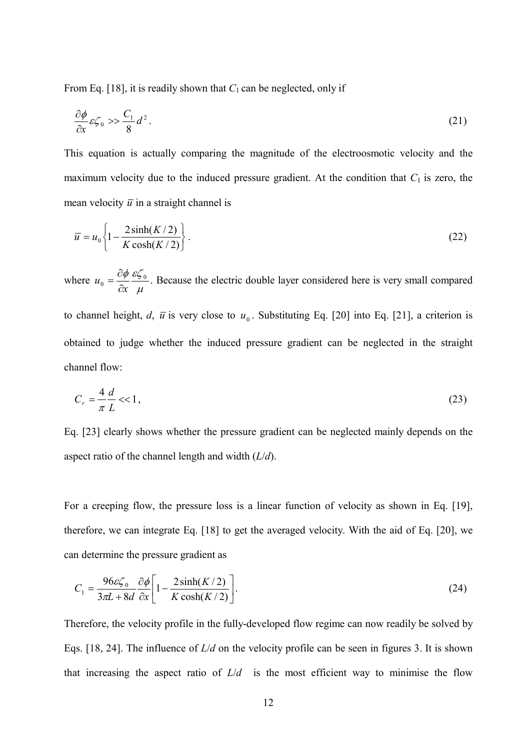From Eq. [18], it is readily shown that  $C_1$  can be neglected, only if

$$
\frac{\partial \phi}{\partial x} \varepsilon \zeta_0 \gg \frac{C_1}{8} d^2. \tag{21}
$$

This equation is actually comparing the magnitude of the electroosmotic velocity and the maximum velocity due to the induced pressure gradient. At the condition that  $C_1$  is zero, the mean velocity  $\bar{u}$  in a straight channel is

$$
\overline{u} = u_0 \left\{ 1 - \frac{2\sinh(K/2)}{K\cosh(K/2)} \right\}.
$$
\n(22)

where  $\mu$  $\phi_0 = \frac{\partial \phi}{\partial x} \frac{\varepsilon \zeta_0}{\mu}$  $\mathfrak u$ ∂  $=\frac{\partial \phi}{\partial \phi} \frac{\varepsilon \zeta_0}{\partial \phi}$ . Because the electric double layer considered here is very small compared to channel height, d,  $\bar{u}$  is very close to  $u_0$ . Substituting Eq. [20] into Eq. [21], a criterion is obtained to judge whether the induced pressure gradient can be neglected in the straight channel flow:

$$
C_r = \frac{4}{\pi} \frac{d}{L} \ll 1,\tag{23}
$$

Eq. [23] clearly shows whether the pressure gradient can be neglected mainly depends on the aspect ratio of the channel length and width  $(L/d)$ .

For a creeping flow, the pressure loss is a linear function of velocity as shown in Eq. [19], therefore, we can integrate Eq. [18] to get the averaged velocity. With the aid of Eq. [20], we can determine the pressure gradient as

$$
C_1 = \frac{96\varepsilon \zeta_0}{3\pi L + 8d} \frac{\partial \phi}{\partial x} \left[ 1 - \frac{2\sinh(K/2)}{K\cosh(K/2)} \right].
$$
 (24)

Therefore, the velocity profile in the fully developed flow regime can now readily be solved by Eqs. [18, 24]. The influence of  $L/d$  on the velocity profile can be seen in figures 3. It is shown that increasing the aspect ratio of  $L/d$  is the most efficient way to minimise the flow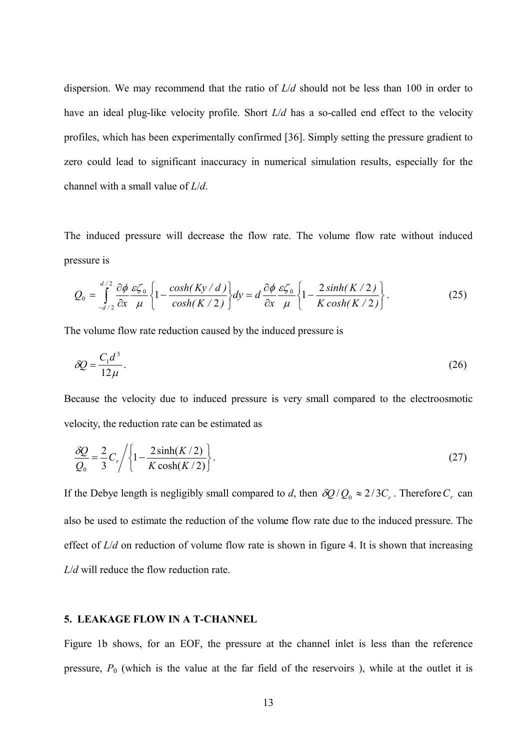dispersion. We may recommend that the ratio of  $L/d$  should not be less than 100 in order to have an ideal plug-like velocity profile. Short  $L/d$  has a so-called end effect to the velocity profiles, which has been experimentally confirmed [36]. Simply setting the pressure gradient to zero could lead to significant inaccuracy in numerical simulation results, especially for the channel with a small value of  $L/d$ .

The induced pressure will decrease the flow rate. The volume flow rate without induced pressure is

$$
Q_0 = \int_{-d/2}^{d/2} \frac{\partial \phi}{\partial x} \frac{\varepsilon \zeta_0}{\mu} \left\{ 1 - \frac{\cosh(Ky/d)}{\cosh(K/2)} \right\} dy = d \frac{\partial \phi}{\partial x} \frac{\varepsilon \zeta_0}{\mu} \left\{ 1 - \frac{2 \sinh(K/2)}{K \cosh(K/2)} \right\}.
$$
 (25)

The volume flow rate reduction caused by the induced pressure is

$$
\delta Q = \frac{C_1 d^3}{12\mu} \,. \tag{26}
$$

Because the velocity due to induced pressure is very small compared to the electroosmotic velocity, the reduction rate can be estimated as

$$
\frac{\delta Q}{Q_0} = \frac{2}{3} C_r / \left\{ 1 - \frac{2 \sinh(K/2)}{K \cosh(K/2)} \right\}.
$$
\n(27)

If the Debye length is negligibly small compared to d, then  $\delta Q/Q_0 \approx 2/3C_r$ . Therefore  $C_r$  can also be used to estimate the reduction of the volume flow rate due to the induced pressure. The effect of  $L/d$  on reduction of volume flow rate is shown in figure 4. It is shown that increasing  $L/d$  will reduce the flow reduction rate.

### **5. LEAKAGE FLOW IN A T-CHANNEL**

Figure 1b shows, for an EOF, the pressure at the channel inlet is less than the reference pressure,  $P_0$  (which is the value at the far field of the reservoirs), while at the outlet it is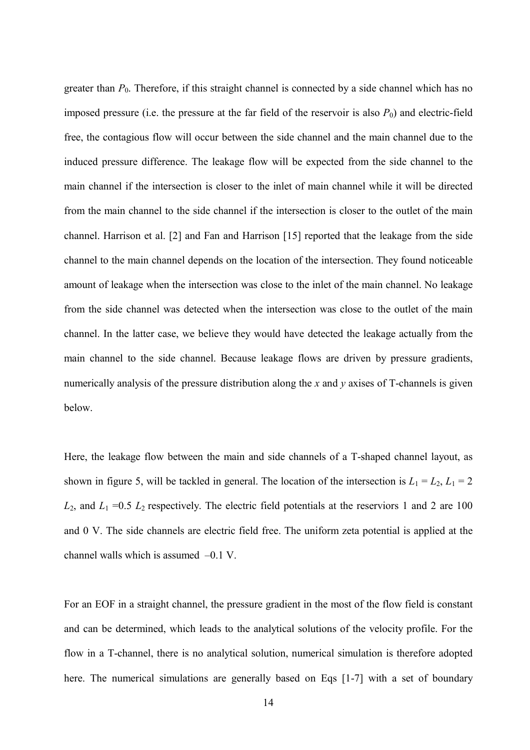greater than  $P_0$ . Therefore, if this straight channel is connected by a side channel which has no imposed pressure (i.e. the pressure at the far field of the reservoir is also  $P_0$ ) and electric-field free, the contagious flow will occur between the side channel and the main channel due to the induced pressure difference. The leakage flow will be expected from the side channel to the main channel if the intersection is closer to the inlet of main channel while it will be directed from the main channel to the side channel if the intersection is closer to the outlet of the main channel. Harrison et al. [2] and Fan and Harrison [15] reported that the leakage from the side channel to the main channel depends on the location of the intersection. They found noticeable amount of leakage when the intersection was close to the inlet of the main channel. No leakage from the side channel was detected when the intersection was close to the outlet of the main channel. In the latter case, we believe they would have detected the leakage actually from the main channel to the side channel. Because leakage flows are driven by pressure gradients, numerically analysis of the pressure distribution along the  $x$  and  $y$  axises of T-channels is given below.

Here, the leakage flow between the main and side channels of a T-shaped channel layout, as shown in figure 5, will be tackled in general. The location of the intersection is  $L_1 = L_2$ ,  $L_1 = 2$  $L_2$ , and  $L_1$  =0.5  $L_2$  respectively. The electric field potentials at the reserviors 1 and 2 are 100 and 0 V. The side channels are electric field free. The uniform zeta potential is applied at the channel walls which is assumed –0.1 V.

For an EOF in a straight channel, the pressure gradient in the most of the flow field is constant and can be determined, which leads to the analytical solutions of the velocity profile. For the flow in a T channel, there is no analytical solution, numerical simulation is therefore adopted here. The numerical simulations are generally based on Eqs [1-7] with a set of boundary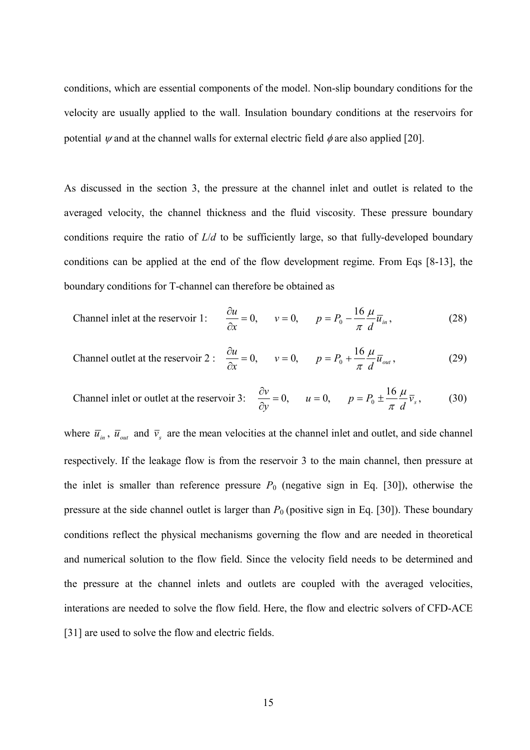conditions, which are essential components of the model. Non slip boundary conditions for the velocity are usually applied to the wall. Insulation boundary conditions at the reservoirs for potential  $\psi$  and at the channel walls for external electric field  $\phi$  are also applied [20].

As discussed in the section 3, the pressure at the channel inlet and outlet is related to the averaged velocity, the channel thickness and the fluid viscosity. These pressure boundary conditions require the ratio of  $L/d$  to be sufficiently large, so that fully-developed boundary conditions can be applied at the end of the flow development regime. From Eqs [8 13], the boundary conditions for T channel can therefore be obtained as

$$
\text{Channel inlet at the reservoir 1:} \qquad \frac{\partial u}{\partial x} = 0, \qquad v = 0, \qquad p = P_0 - \frac{16}{\pi} \frac{\mu}{d} \overline{u}_{in}, \tag{28}
$$

Channel outlet at the reservoir 2 : 
$$
\frac{\partial u}{\partial x} = 0
$$
,  $v = 0$ ,  $p = P_0 + \frac{16}{\pi} \frac{\mu}{d} \overline{u}_{out}$ , (29)

Channel inlet or outlet at the reservoir 3: 
$$
\frac{\partial v}{\partial y} = 0
$$
,  $u = 0$ ,  $p = P_0 \pm \frac{16}{\pi} \frac{\mu}{d} \overline{v}_s$ , (30)

where  $\bar{u}_{in}$ ,  $\bar{u}_{out}$  and  $\bar{v}_s$  are the mean velocities at the channel inlet and outlet, and side channel respectively. If the leakage flow is from the reservoir 3 to the main channel, then pressure at the inlet is smaller than reference pressure  $P_0$  (negative sign in Eq. [30]), otherwise the pressure at the side channel outlet is larger than  $P_0$  (positive sign in Eq. [30]). These boundary conditions reflect the physical mechanisms governing the flow and are needed in theoretical and numerical solution to the flow field. Since the velocity field needs to be determined and the pressure at the channel inlets and outlets are coupled with the averaged velocities, interations are needed to solve the flow field. Here, the flow and electric solvers of CFD ACE [31] are used to solve the flow and electric fields.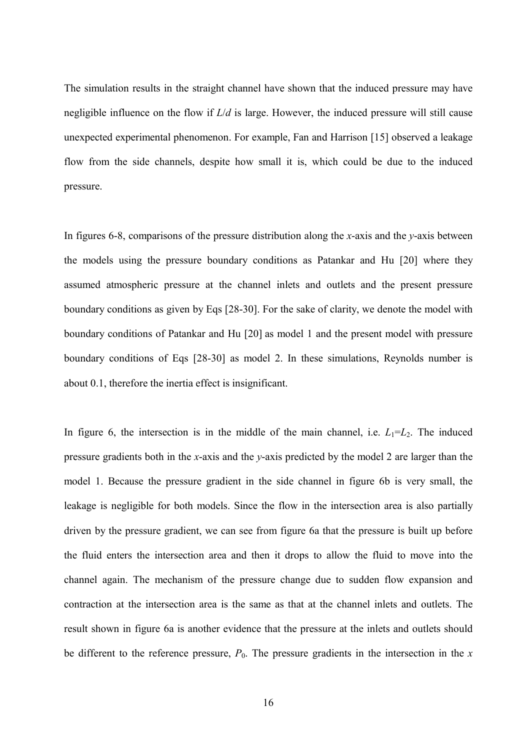The simulation results in the straight channel have shown that the induced pressure may have negligible influence on the flow if  $L/d$  is large. However, the induced pressure will still cause unexpected experimental phenomenon. For example, Fan and Harrison [15] observed a leakage flow from the side channels, despite how small it is, which could be due to the induced pressure.

In figures 6-8, comparisons of the pressure distribution along the x-axis and the  $y$ -axis between the models using the pressure boundary conditions as Patankar and Hu [20] where they assumed atmospheric pressure at the channel inlets and outlets and the present pressure boundary conditions as given by Eqs [28 30]. For the sake of clarity, we denote the model with boundary conditions of Patankar and Hu [20] as model 1 and the present model with pressure boundary conditions of Eqs [28 30] as model 2. In these simulations, Reynolds number is about 0.1, therefore the inertia effect is insignificant.

In figure 6, the intersection is in the middle of the main channel, i.e.  $L_1=L_2$ . The induced pressure gradients both in the *x*-axis and the *y*-axis predicted by the model 2 are larger than the model 1. Because the pressure gradient in the side channel in figure 6b is very small, the leakage is negligible for both models. Since the flow in the intersection area is also partially driven by the pressure gradient, we can see from figure 6a that the pressure is built up before the fluid enters the intersection area and then it drops to allow the fluid to move into the channel again. The mechanism of the pressure change due to sudden flow expansion and contraction at the intersection area is the same as that at the channel inlets and outlets. The result shown in figure 6a is another evidence that the pressure at the inlets and outlets should be different to the reference pressure,  $P_0$ . The pressure gradients in the intersection in the x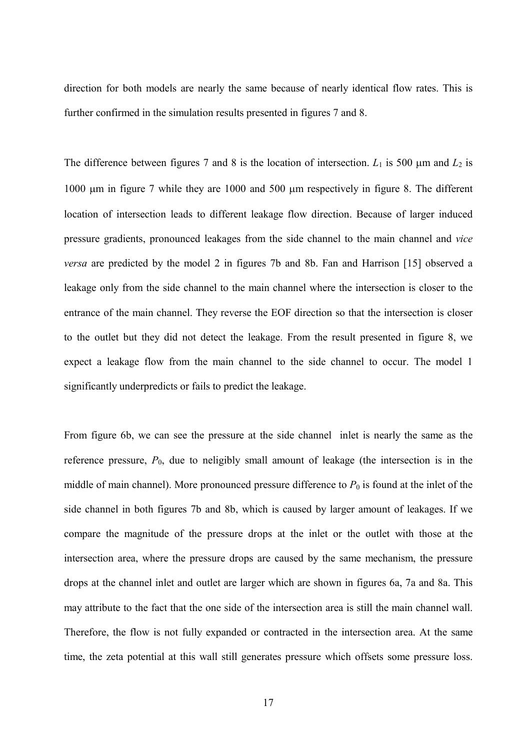direction for both models are nearly the same because of nearly identical flow rates. This is further confirmed in the simulation results presented in figures 7 and 8.

The difference between figures 7 and 8 is the location of intersection.  $L_1$  is 500  $\mu$ m and  $L_2$  is 1000 µm in figure 7 while they are 1000 and 500 µm respectively in figure 8. The different location of intersection leads to different leakage flow direction. Because of larger induced pressure gradients, pronounced leakages from the side channel to the main channel and vice *versa* are predicted by the model 2 in figures 7b and 8b. Fan and Harrison [15] observed a leakage only from the side channel to the main channel where the intersection is closer to the entrance of the main channel. They reverse the EOF direction so that the intersection is closer to the outlet but they did not detect the leakage. From the result presented in figure 8, we expect a leakage flow from the main channel to the side channel to occur. The model 1 significantly underpredicts or fails to predict the leakage.

From figure 6b, we can see the pressure at the side channel inlet is nearly the same as the reference pressure,  $P_0$ , due to neligibly small amount of leakage (the intersection is in the middle of main channel). More pronounced pressure difference to  $P_0$  is found at the inlet of the side channel in both figures 7b and 8b, which is caused by larger amount of leakages. If we compare the magnitude of the pressure drops at the inlet or the outlet with those at the intersection area, where the pressure drops are caused by the same mechanism, the pressure drops at the channel inlet and outlet are larger which are shown in figures 6a, 7a and 8a. This may attribute to the fact that the one side of the intersection area is still the main channel wall. Therefore, the flow is not fully expanded or contracted in the intersection area. At the same time, the zeta potential at this wall still generates pressure which offsets some pressure loss.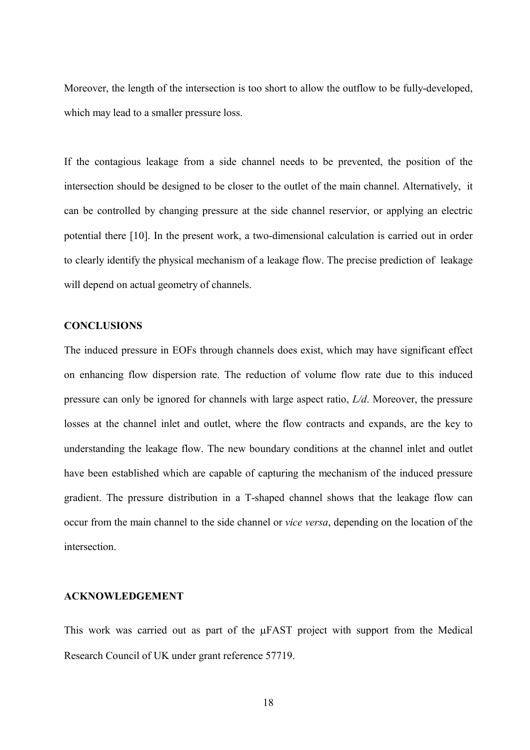Moreover, the length of the intersection is too short to allow the outflow to be fully developed, which may lead to a smaller pressure loss.

If the contagious leakage from a side channel needs to be prevented, the position of the intersection should be designed to be closer to the outlet of the main channel. Alternatively, it can be controlled by changing pressure at the side channel reservior, or applying an electric potential there [10]. In the present work, a two dimensional calculation is carried out in order to clearly identify the physical mechanism of a leakage flow. The precise prediction of leakage will depend on actual geometry of channels.

## **CONCLUSIONS**

The induced pressure in EOFs through channels does exist, which may have significant effect on enhancing flow dispersion rate. The reduction of volume flow rate due to this induced pressure can only be ignored for channels with large aspect ratio,  $L/d$ . Moreover, the pressure losses at the channel inlet and outlet, where the flow contracts and expands, are the key to understanding the leakage flow. The new boundary conditions at the channel inlet and outlet have been established which are capable of capturing the mechanism of the induced pressure gradient. The pressure distribution in a T shaped channel shows that the leakage flow can occur from the main channel to the side channel or *vice versa*, depending on the location of the intersection.

## **ACKNOWLEDGEMENT**

This work was carried out as part of the  $\mu$ FAST project with support from the Medical Research Council of UK under grant reference 57719.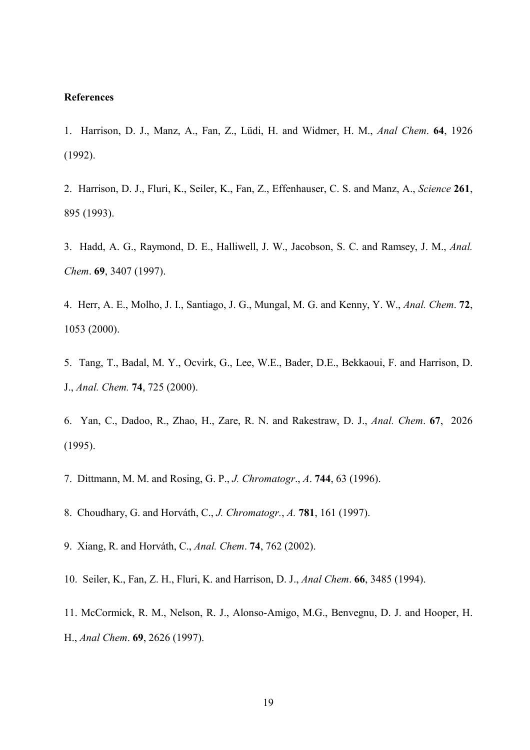#### **References**

- 1. Harrison, D. J., Manz, A., Fan, Z., Lüdi, H. and Widmer, H. M., Anal Chem. 64, 1926 (1992).
- 2. Harrison, D. J., Fluri, K., Seiler, K., Fan, Z., Effenhauser, C. S. and Manz, A., Science 261, 895 (1993).
- 3. Hadd, A. G., Raymond, D. E., Halliwell, J. W., Jacobson, S. C. and Ramsey, J. M., Anal. Chem. 69, 3407 (1997).
- 4. Herr, A. E., Molho, J. I., Santiago, J. G., Mungal, M. G. and Kenny, Y. W., Anal. Chem. 72, 1053 (2000).
- 5. Tang, T., Badal, M. Y., Ocvirk, G., Lee, W.E., Bader, D.E., Bekkaoui, F. and Harrison, D. J., Anal. Chem. 74, 725 (2000).
- 6. Yan, C., Dadoo, R., Zhao, H., Zare, R. N. and Rakestraw, D. J., Anal. Chem. 67, 2026 (1995).
- 7. Dittmann, M. M. and Rosing, G. P., J. Chromatogr., A. **744**, 63 (1996).
- 8. Choudhary, G. and Horváth, C., J. Chromatogr., A. **781**, 161 (1997).
- 9. Xiang, R. and Horváth, C., Anal. Chem. 74, 762 (2002).
- 10. Seiler, K., Fan, Z. H., Fluri, K. and Harrison, D. J., *Anal Chem.* 66, 3485 (1994).
- 11. McCormick, R. M., Nelson, R. J., Alonso Amigo, M.G., Benvegnu, D. J. and Hooper, H. H., Anal Chem. 69, 2626 (1997).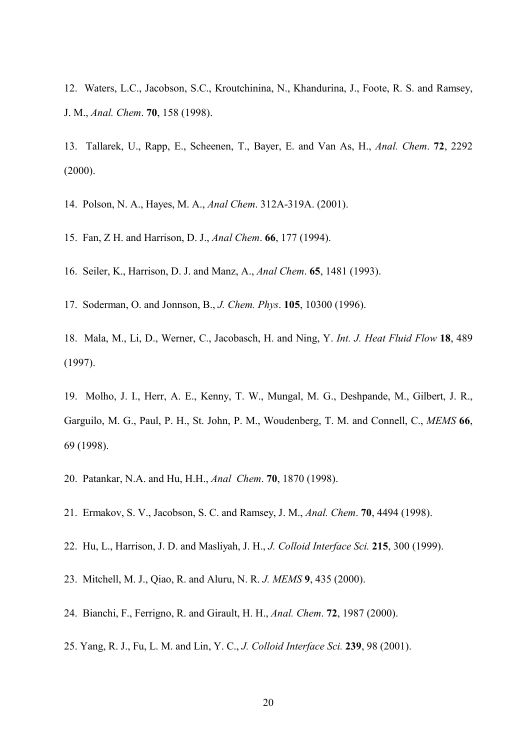12. Waters, L.C., Jacobson, S.C., Kroutchinina, N., Khandurina, J., Foote, R. S. and Ramsey, J. M., Anal. Chem. 70, 158 (1998).

13. Tallarek, U., Rapp, E., Scheenen, T., Bayer, E. and Van As, H., Anal. Chem. 72, 2292 (2000).

14. Polson, N. A., Hayes, M. A., Anal Chem. 312A-319A. (2001).

15. Fan, Z H. and Harrison, D. J., *Anal Chem.* 66, 177 (1994).

16. Seiler, K., Harrison, D. J. and Manz, A., *Anal Chem.* **65**, 1481 (1993).

17. Soderman, O. and Jonnson, B., J. Chem. Phys. **105**, 10300 (1996).

18. Mala, M., Li, D., Werner, C., Jacobasch, H. and Ning, Y. Int. J. Heat Fluid Flow 18, 489 (1997).

19. Molho, J. I., Herr, A. E., Kenny, T. W., Mungal, M. G., Deshpande, M., Gilbert, J. R., Garguilo, M. G., Paul, P. H., St. John, P. M., Woudenberg, T. M. and Connell, C., MEMS 66, 69 (1998).

- 20. Patankar, N.A. and Hu, H.H., *Anal Chem.* **70**, 1870 (1998).
- 21. Ermakov, S. V., Jacobson, S. C. and Ramsey, J. M., Anal. Chem. 70, 4494 (1998).
- 22. Hu, L., Harrison, J. D. and Masliyah, J. H., J. Colloid Interface Sci. 215, 300 (1999).
- 23. Mitchell, M. J., Qiao, R. and Aluru, N. R. J. MEMS 9, 435 (2000).
- 24. Bianchi, F., Ferrigno, R. and Girault, H. H., Anal. Chem. 72, 1987 (2000).
- 25. Yang, R. J., Fu, L. M. and Lin, Y. C., J. Colloid Interface Sci. 239, 98 (2001).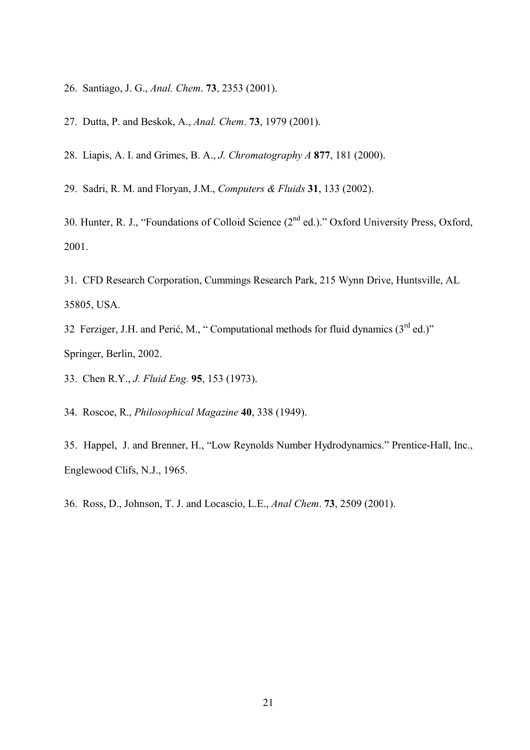- 26. Santiago, J. G., Anal. Chem. 73, 2353 (2001).
- 27. Dutta, P. and Beskok, A., *Anal. Chem.* **73**, 1979 (2001).
- 28. Liapis, A. I. and Grimes, B. A., *J. Chromatography A* 877, 181 (2000).

29. Sadri, R. M. and Floryan, J.M., Computers & Fluids 31, 133 (2002).

30. Hunter, R. J., "Foundations of Colloid Science (2<sup>nd</sup> ed.)." Oxford University Press, Oxford, 2001.

31. CFD Research Corporation, Cummings Research Park, 215 Wynn Drive, Huntsville, AL 35805, USA.

32 Ferziger, J.H. and Perić, M., "Computational methods for fluid dynamics  $(3<sup>rd</sup> ed.)$ " Springer, Berlin, 2002.

33. Chen R.Y., *J. Fluid Eng.* 95, 153 (1973).

34. Roscoe, R., *Philosophical Magazine* 40, 338 (1949).

35. Happel, J. and Brenner, H., "Low Reynolds Number Hydrodynamics." Prentice Hall, Inc., Englewood Clifs, N.J., 1965.

36. Ross, D., Johnson, T. J. and Locascio, L.E., *Anal Chem.* **73**, 2509 (2001).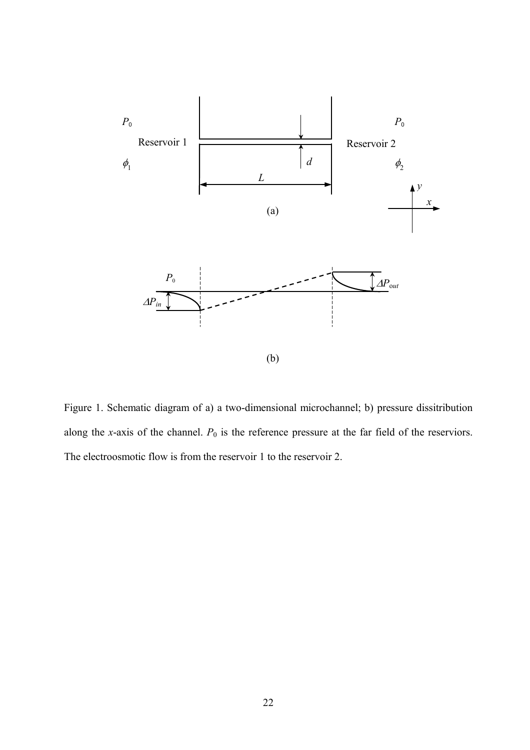

Figure 1. Schematic diagram of a) a two dimensional microchannel; b) pressure dissitribution along the *x*-axis of the channel.  $P_0$  is the reference pressure at the far field of the reserviors. The electroosmotic flow is from the reservoir 1 to the reservoir 2.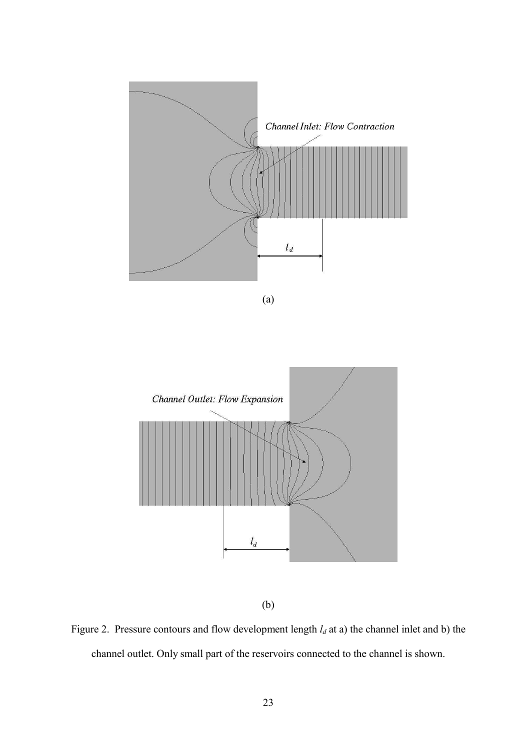

(a)



(b)

Figure 2. Pressure contours and flow development length  $l_d$  at a) the channel inlet and b) the channel outlet. Only small part of the reservoirs connected to the channel is shown.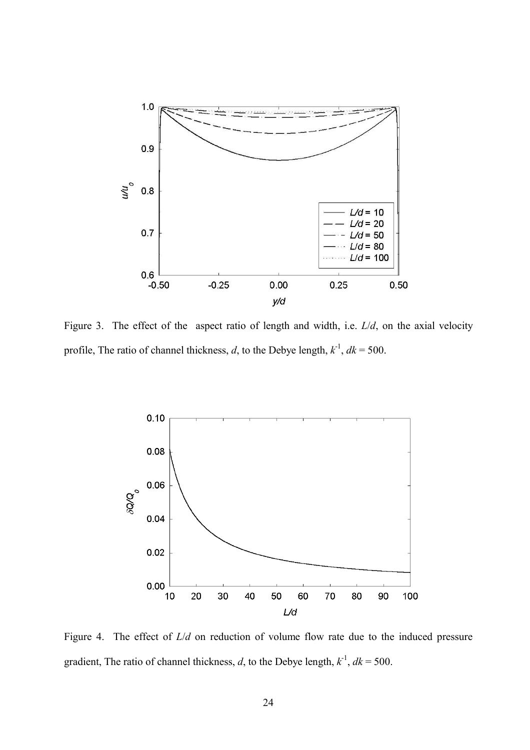

Figure 3. The effect of the aspect ratio of length and width, i.e.  $L/d$ , on the axial velocity profile, The ratio of channel thickness, d, to the Debye length,  $k^{-1}$ ,  $dk = 500$ .



Figure 4. The effect of  $L/d$  on reduction of volume flow rate due to the induced pressure gradient, The ratio of channel thickness, d, to the Debye length,  $k^{-1}$ ,  $dk = 500$ .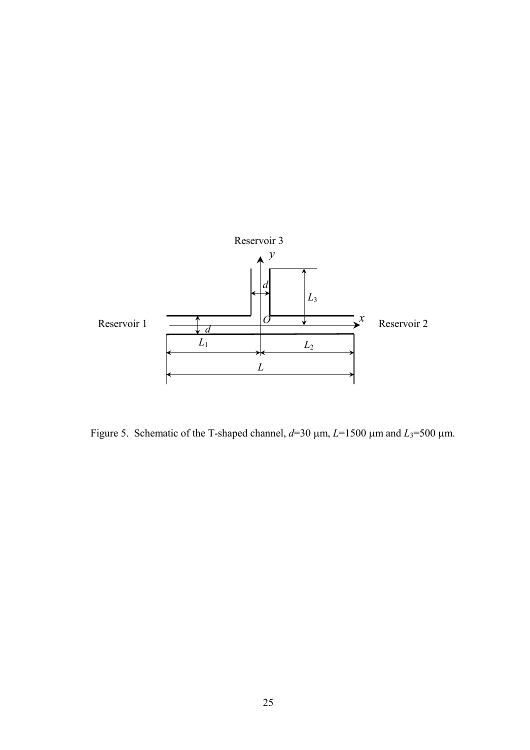

Figure 5. Schematic of the T-shaped channel,  $d=30 \mu m$ ,  $L=1500 \mu m$  and  $L_3=500 \mu m$ .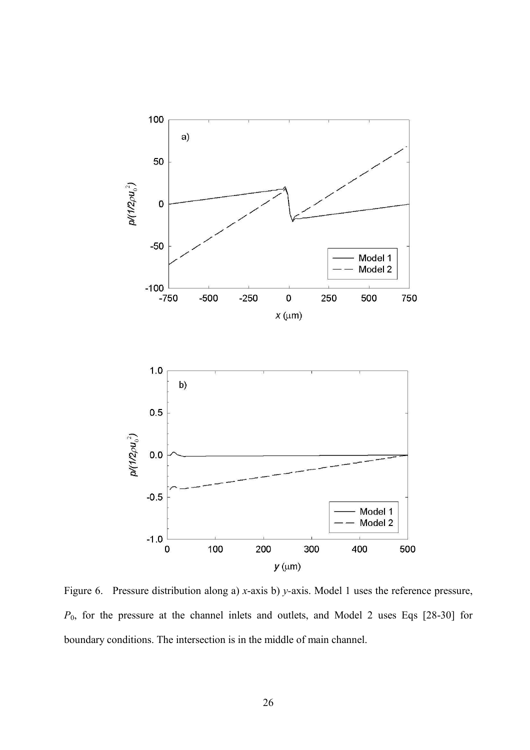

Figure 6. Pressure distribution along a)  $x$ -axis b)  $y$ -axis. Model 1 uses the reference pressure,  $P_0$ , for the pressure at the channel inlets and outlets, and Model 2 uses Eqs [28-30] for boundary conditions. The intersection is in the middle of main channel.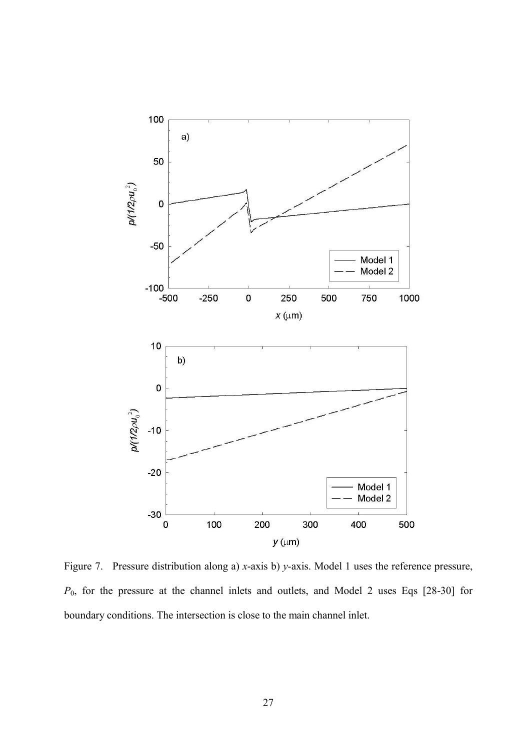

Figure 7. Pressure distribution along a)  $x$ -axis b)  $y$ -axis. Model 1 uses the reference pressure,  $P_0$ , for the pressure at the channel inlets and outlets, and Model 2 uses Eqs [28-30] for boundary conditions. The intersection is close to the main channel inlet.